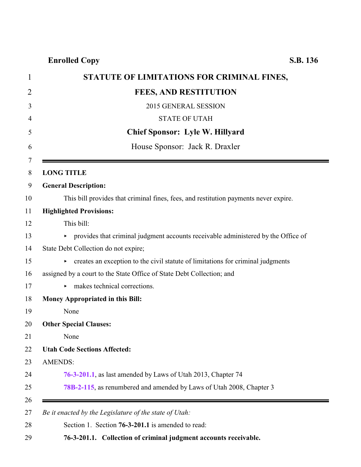**Enrolled Copy S.B. 136**

<span id="page-0-0"></span>

| STATUTE OF LIMITATIONS FOR CRIMINAL FINES,                                           |
|--------------------------------------------------------------------------------------|
| <b>FEES, AND RESTITUTION</b>                                                         |
| 2015 GENERAL SESSION                                                                 |
| <b>STATE OF UTAH</b>                                                                 |
| <b>Chief Sponsor: Lyle W. Hillyard</b>                                               |
| House Sponsor: Jack R. Draxler                                                       |
| <b>LONG TITLE</b>                                                                    |
| <b>General Description:</b>                                                          |
| This bill provides that criminal fines, fees, and restitution payments never expire. |
| <b>Highlighted Provisions:</b>                                                       |
| This bill:                                                                           |
| • provides that criminal judgment accounts receivable administered by the Office of  |
| State Debt Collection do not expire;                                                 |
| creates an exception to the civil statute of limitations for criminal judgments      |
| assigned by a court to the State Office of State Debt Collection; and                |
| makes technical corrections.<br>►                                                    |
| <b>Money Appropriated in this Bill:</b>                                              |
| None                                                                                 |
| <b>Other Special Clauses:</b>                                                        |
| None                                                                                 |
| <b>Utah Code Sections Affected:</b>                                                  |
| <b>AMENDS:</b>                                                                       |
| 76-3-201.1, as last amended by Laws of Utah 2013, Chapter 74                         |
| 78B-2-115, as renumbered and amended by Laws of Utah 2008, Chapter 3                 |
| Be it enacted by the Legislature of the state of Utah:                               |
| Section 1. Section 76-3-201.1 is amended to read:                                    |
| 76-3-201.1. Collection of criminal judgment accounts receivable.                     |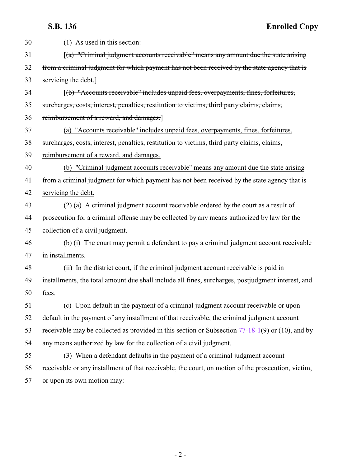**S.B. 136 Enrolled Copy**

| 30 | (1) As used in this section:                                                                          |
|----|-------------------------------------------------------------------------------------------------------|
| 31 | $\left[$ (a) "Criminal judgment accounts receivable" means any amount due the state arising           |
| 32 | from a criminal judgment for which payment has not been received by the state agency that is          |
| 33 | servicing the debt.                                                                                   |
| 34 | [(b) "Accounts receivable" includes unpaid fees, overpayments, fines, forfeitures,                    |
| 35 | surcharges, costs, interest, penalties, restitution to victims, third party claims, claims,           |
| 36 | reimbursement of a reward, and damages.                                                               |
| 37 | (a) "Accounts receivable" includes unpaid fees, overpayments, fines, forfeitures,                     |
| 38 | surcharges, costs, interest, penalties, restitution to victims, third party claims, claims,           |
| 39 | reimbursement of a reward, and damages.                                                               |
| 40 | (b) "Criminal judgment accounts receivable" means any amount due the state arising                    |
| 41 | from a criminal judgment for which payment has not been received by the state agency that is          |
| 42 | servicing the debt.                                                                                   |
| 43 | (2) (a) A criminal judgment account receivable ordered by the court as a result of                    |
| 44 | prosecution for a criminal offense may be collected by any means authorized by law for the            |
| 45 | collection of a civil judgment.                                                                       |
| 46 | (b) (i) The court may permit a defendant to pay a criminal judgment account receivable                |
| 47 | in installments.                                                                                      |
| 48 | (ii) In the district court, if the criminal judgment account receivable is paid in                    |
| 49 | installments, the total amount due shall include all fines, surcharges, postjudgment interest, and    |
| 50 | fees.                                                                                                 |
| 51 | (c) Upon default in the payment of a criminal judgment account receivable or upon                     |
| 52 | default in the payment of any installment of that receivable, the criminal judgment account           |
| 53 | receivable may be collected as provided in this section or Subsection $77-18-1(9)$ or $(10)$ , and by |
| 54 | any means authorized by law for the collection of a civil judgment.                                   |
| 55 | (3) When a defendant defaults in the payment of a criminal judgment account                           |
| 56 | receivable or any installment of that receivable, the court, on motion of the prosecution, victim,    |
| 57 | or upon its own motion may:                                                                           |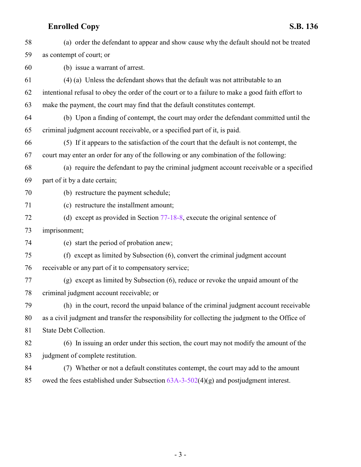# **Enrolled Copy S.B. 136**

| 58 | (a) order the defendant to appear and show cause why the default should not be treated            |
|----|---------------------------------------------------------------------------------------------------|
| 59 | as contempt of court; or                                                                          |
| 60 | (b) issue a warrant of arrest.                                                                    |
| 61 | (4) (a) Unless the defendant shows that the default was not attributable to an                    |
| 62 | intentional refusal to obey the order of the court or to a failure to make a good faith effort to |
| 63 | make the payment, the court may find that the default constitutes contempt.                       |
| 64 | (b) Upon a finding of contempt, the court may order the defendant committed until the             |
| 65 | criminal judgment account receivable, or a specified part of it, is paid.                         |
| 66 | (5) If it appears to the satisfaction of the court that the default is not contempt, the          |
| 67 | court may enter an order for any of the following or any combination of the following:            |
| 68 | (a) require the defendant to pay the criminal judgment account receivable or a specified          |
| 69 | part of it by a date certain;                                                                     |
| 70 | (b) restructure the payment schedule;                                                             |
| 71 | (c) restructure the installment amount;                                                           |
| 72 | (d) except as provided in Section 77-18-8, execute the original sentence of                       |
| 73 | imprisonment;                                                                                     |
| 74 | (e) start the period of probation anew;                                                           |
| 75 | (f) except as limited by Subsection (6), convert the criminal judgment account                    |
| 76 | receivable or any part of it to compensatory service;                                             |
| 77 | (g) except as limited by Subsection (6), reduce or revoke the unpaid amount of the                |
| 78 | criminal judgment account receivable; or                                                          |
| 79 | (h) in the court, record the unpaid balance of the criminal judgment account receivable           |
| 80 | as a civil judgment and transfer the responsibility for collecting the judgment to the Office of  |
| 81 | State Debt Collection.                                                                            |
| 82 | (6) In issuing an order under this section, the court may not modify the amount of the            |
| 83 | judgment of complete restitution.                                                                 |
| 84 | (7) Whether or not a default constitutes contempt, the court may add to the amount                |
| 85 | owed the fees established under Subsection $63A-3-502(4)(g)$ and postjudgment interest.           |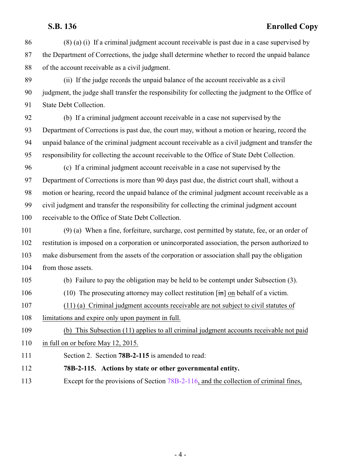### **S.B. 136 Enrolled Copy**

- (8) (a) (i) If a criminal judgment account receivable is past due in a case supervised by the Department of Corrections, the judge shall determine whether to record the unpaid balance of the account receivable as a civil judgment.
- (ii) If the judge records the unpaid balance of the account receivable as a civil judgment, the judge shall transfer the responsibility for collecting the judgment to the Office of State Debt Collection.
- (b) If a criminal judgment account receivable in a case not supervised by the Department of Corrections is past due, the court may, without a motion or hearing, record the unpaid balance of the criminal judgment account receivable as a civil judgment and transfer the responsibility for collecting the account receivable to the Office of State Debt Collection.
- (c) If a criminal judgment account receivable in a case not supervised by the Department of Corrections is more than 90 days past due, the district court shall, without a motion or hearing, record the unpaid balance of the criminal judgment account receivable as a civil judgment and transfer the responsibility for collecting the criminal judgment account receivable to the Office of State Debt Collection.
- (9) (a) When a fine, forfeiture, surcharge, cost permitted by statute, fee, or an order of restitution is imposed on a corporation or unincorporated association, the person authorized to make disbursement from the assets of the corporation or association shall pay the obligation 104 from those assets.
- (b) Failure to pay the obligation may be held to be contempt under Subsection (3).
- (10) The prosecuting attorney may collect restitution [in] on behalf of a victim.
- (11) (a) Criminal judgment accounts receivable are not subject to civil statutes of
- limitations and expire only upon payment in full.
- (b) This Subsection (11) applies to all criminal judgment accounts receivable not paid
- 110 in full on or before May 12, 2015.
- <span id="page-3-0"></span>Section 2. Section **78B-2-115** is amended to read:
- **78B-2-115. Actions by state or other governmental entity.**
- 113 Except for the provisions of Section [78B-2-116](http://le.utah.gov/UtahCode/SectionLookup.jsp?section=78b-2-116&session=2015GS), and the collection of criminal fines,